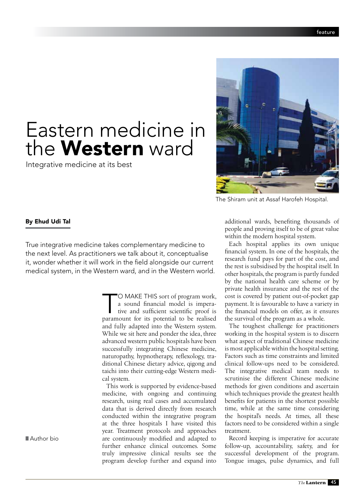## Eastern medicine in the **Western** ward

Integrative medicine at its best



The Shiram unit at Assaf Harofeh Hospital.

## By Ehud Udi Tal

True integrative medicine takes complementary medicine to the next level. As practitioners we talk about it, conceptualise it, wonder whether it will work in the field alongside our current medical system, in the Western ward, and in the Western world.

> 'O MAKE THIS sort of program work, a sound financial model is imperative and sufficient scientific proof is paramount for its potential to be realised and fully adapted into the Western system. While we sit here and ponder the idea, three advanced western public hospitals have been successfully integrating Chinese medicine, naturopathy, hypnotherapy, reflexology, traditional Chinese dietary advice, qigong and taichi into their cutting-edge Western medical system.

This work is supported by evidence-based medicine, with ongoing and continuing research, using real cases and accumulated data that is derived directly from research conducted within the integrative program at the three hospitals I have visited this year. Treatment protocols and approaches are continuously modified and adapted to further enhance clinical outcomes. Some truly impressive clinical results see the program develop further and expand into

additional wards, benefiting thousands of people and proving itself to be of great value within the modern hospital system.

Each hospital applies its own unique financial system. In one of the hospitals, the research fund pays for part of the cost, and the rest is subsidised by the hospital itself. In other hospitals, the program is partly funded by the national health care scheme or by private health insurance and the rest of the cost is covered by patient out-of-pocket gap payment. It is favourable to have a variety in the financial models on offer, as it ensures the survival of the program as a whole.

The toughest challenge for practitioners working in the hospital system is to discern what aspect of traditional Chinese medicine is most applicable within the hospital setting. Factors such as time constraints and limited clinical follow-ups need to be considered. The integrative medical team needs to scrutinise the different Chinese medicine methods for given conditions and ascertain which techniques provide the greatest health benefits for patients in the shortest possible time, while at the same time considering the hospital's needs. At times, all these factors need to be considered within a single treatment.

Record keeping is imperative for accurate follow-up, accountability, safety, and for successful development of the program. Tongue images, pulse dynamics, and full

■ Author bio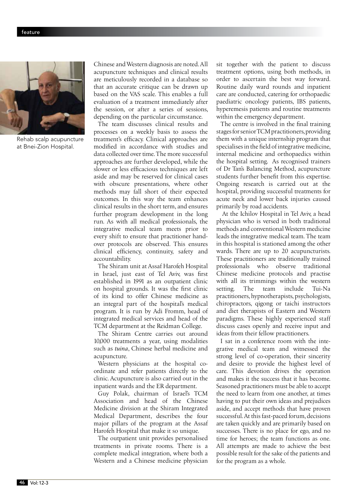

Rehab scalp acupuncture at Bnei-Zion Hospital.

Chinese and Western diagnosis are noted. All acupuncture techniques and clinical results are meticulously recorded in a database so that an accurate critique can be drawn up based on the VAS scale. This enables a full evaluation of a treatment immediately after the session, or after a series of sessions, depending on the particular circumstance.

The team discusses clinical results and processes on a weekly basis to assess the treatment's efficacy. Clinical approaches are modified in accordance with studies and data collected over time. The more successful approaches are further developed, while the slower or less efficacious techniques are left aside and may be reserved for clinical cases with obscure presentations, where other methods may fall short of their expected outcomes. In this way the team enhances clinical results in the short term, and ensures further program development in the long run. As with all medical professionals, the integrative medical team meets prior to every shift to ensure that practitioner handover protocols are observed. This ensures clinical efficiency, continuity, safety and accountability.

The Shiram unit at Assaf Harofeh Hospital in Israel, just east of Tel Aviv, was first established in 1991 as an outpatient clinic on hospital grounds. It was the first clinic of its kind to offer Chinese medicine as an integral part of the hospital's medical program. It is run by Adi Fromm, head of integrated medical services and head of the TCM department at the Reidman College.

The Shiram Centre carries out around 10,000 treatments a year, using modalities such as *tuina*, Chinese herbal medicine and acupuncture.

Western physicians at the hospital coordinate and refer patients directly to the clinic. Acupuncture is also carried out in the inpatient wards and the ER department.

Guy Polak, chairman of Israel's TCM Association and head of the Chinese Medicine division at the Shiram Integrated Medical Department, describes the four major pillars of the program at the Assaf Harofeh Hospital that make it so unique.

The outpatient unit provides personalised treatments in private rooms. There is a complete medical integration, where both a Western and a Chinese medicine physician

sit together with the patient to discuss treatment options, using both methods, in order to ascertain the best way forward. Routine daily ward rounds and inpatient care are conducted, catering for orthopaedic paediatric oncology patients, IBS patients, hyperemesis patients and routine treatments within the emergency department.

The centre is involved in the final training stages for senior TCM practitioners, providing them with a unique internship program that specialises in the field of integrative medicine, internal medicine and orthopaedics within the hospital setting. As recognised trainers of Dr Tan's Balancing Method, acupuncture students further benefit from this expertise. Ongoing research is carried out at the hospital, providing successful treatments for acute neck and lower back injuries caused primarily by road accidents.

At the Ichilov Hospital in Tel Aviv, a head physician who is versed in both traditional methods and conventional Western medicine leads the integrative medical team. The team in this hospital is stationed among the other wards. There are up to 20 acupuncturists. These practitioners are traditionally trained professionals who observe traditional Chinese medicine protocols and practise with all its trimmings within the western setting. The team include Tui-Na practitioners, hypnotherapists, psychologists, chiropractors, qigong or taichi instructors and diet therapists of Eastern and Western paradigms. These highly experienced staff discuss cases openly and receive input and ideas from their fellow practitioners.

I sat in a conference room with the integrative medical team and witnessed the strong level of co-operation, their sincerity and desire to provide the highest level of care. This devotion drives the operation and makes it the success that it has become. Seasoned practitioners must be able to accept the need to learn from one another, at times having to put their own ideas and prejudices aside, and accept methods that have proven successful. At this fast-paced forum, decisions are taken quickly and are primarily based on successes. There is no place for ego, and no time for heroes; the team functions as one. All attempts are made to achieve the best possible result for the sake of the patients and for the program as a whole.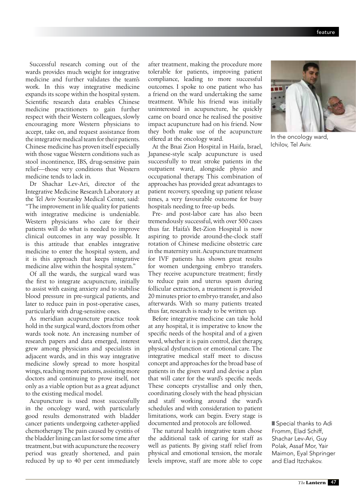Successful research coming out of the wards provides much weight for integrative medicine and further validates the team's work. In this way integrative medicine expands its scope within the hospital system. Scientific research data enables Chinese medicine practitioners to gain further respect with their Western colleagues, slowly encouraging more Western physicians to accept, take on, and request assistance from the integrative medical team for their patients. Chinese medicine has proven itself especially with those vague Western conditions such as stool incontinence, IBS, drug-sensitive pain relief—those very conditions that Western medicine tends to lack in.

Dr Shachar Lev-Ari, director of the Integrative Medicine Research Laboratory at the Tel Aviv Sourasky Medical Center, said: "The improvement in life quality for patients with integrative medicine is undeniable. Western physicians who care for their patients will do what is needed to improve clinical outcomes in any way possible. It is this attitude that enables integrative medicine to enter the hospital system, and it is this approach that keeps integrative medicine alive within the hospital system."

Of all the wards, the surgical ward was the first to integrate acupuncture, initially to assist with easing anxiety and to stabilise blood pressure in pre-surgical patients, and later to reduce pain in post-operative cases, particularly with drug-sensitive ones.

As meridian acupuncture practice took hold in the surgical ward, doctors from other wards took note. An increasing number of research papers and data emerged, interest grew among physicians and specialists in adjacent wards, and in this way integrative medicine slowly spread to more hospital wings, reaching more patients, assisting more doctors and continuing to prove itself, not only as a viable option but as a great adjunct to the existing medical model.

Acupuncture is used most successfully in the oncology ward, with particularly good results demonstrated with bladder cancer patients undergoing catheter-applied chemotherapy. The pain caused by cystitis of the bladder lining can last for some time after treatment, but with acupuncture the recovery period was greatly shortened, and pain reduced by up to 40 per cent immediately

after treatment, making the procedure more tolerable for patients, improving patient compliance, leading to more successful outcomes. I spoke to one patient who has a friend on the ward undertaking the same treatment. While his friend was initially uninterested in acupuncture, he quickly came on board once he realised the positive impact acupuncture had on his friend. Now they both make use of the acupuncture offered at the oncology ward.

At the Bnai Zion Hospital in Haifa, Israel, Japanese-style scalp acupuncture is used successfully to treat stroke patients in the outpatient ward, alongside physio and occupational therapy. This combination of approaches has provided great advantages to patient recovery, speeding up patient release times, a very favourable outcome for busy hospitals needing to free-up beds.

Pre- and post-labor care has also been tremendously successful, with over 500 cases thus far. Haifa's Bet-Zion Hospital is now aspiring to provide around-the-clock staff rotation of Chinese medicine obstetric care in the maternity unit. Acupuncture treatment for IVF patients has shown great results for women undergoing embryo transfers. They receive acupuncture treatment; firstly to reduce pain and uterus spasm during follicular extraction, a treatment is provided 20 minutes prior to embryo transfer, and also afterwards. With so many patients treated thus far, research is ready to be written up.

Before integrative medicine can take hold at any hospital, it is imperative to know the specific needs of the hospital and of a given ward, whether it is pain control, diet therapy, physical dysfunction or emotional care. The integrative medical staff meet to discuss concept and approaches for the broad base of patients in the given ward and devise a plan that will cater for the ward's specific needs. These concepts crystallise and only then, coordinating closely with the head physician and staff working around the ward's schedules and with consideration to patient limitations, work can begin. Every stage is documented and protocols are followed.

The natural health integrative team chose the additional task of caring for staff as well as patients. By giving staff relief from physical and emotional tension, the morale levels improve, staff are more able to cope



In the oncology ward, Ichilov, Tel Aviv.

Special thanks to Adi Fromm, Elad Schiff, Shachar Lev-Ari, Guy Polak, Assaf Mor, Yair Maimon, Eyal Shpringer and Elad Itzchakov.